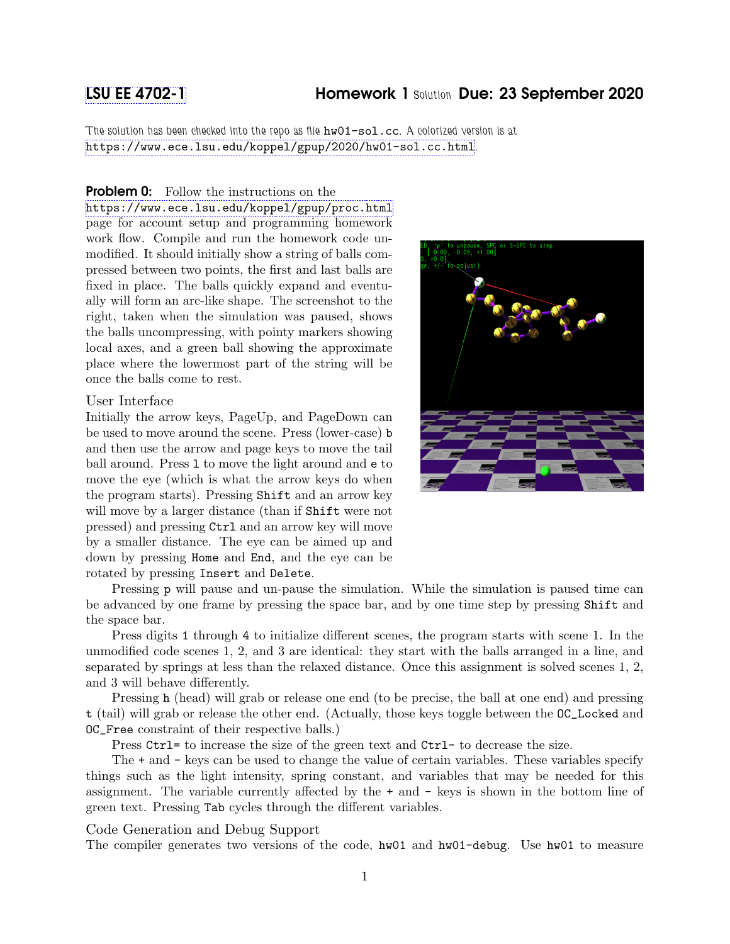# [LSU EE 4702-1](https://www.ece.lsu.edu/koppel/gpup/) Homework 1 Solution Due: 23 September 2020

The solution has been checked into the repo as file hw01-sol.cc. A colorized version is at <https://www.ece.lsu.edu/koppel/gpup/2020/hw01-sol.cc.html>.

## **Problem 0:** Follow the instructions on the

<https://www.ece.lsu.edu/koppel/gpup/proc.html> page for account setup and programming homework work flow. Compile and run the homework code unmodified. It should initially show a string of balls compressed between two points, the first and last balls are fixed in place. The balls quickly expand and eventually will form an arc-like shape. The screenshot to the right, taken when the simulation was paused, shows the balls uncompressing, with pointy markers showing local axes, and a green ball showing the approximate place where the lowermost part of the string will be once the balls come to rest.

## User Interface

Initially the arrow keys, PageUp, and PageDown can be used to move around the scene. Press (lower-case) b and then use the arrow and page keys to move the tail ball around. Press l to move the light around and e to move the eye (which is what the arrow keys do when the program starts). Pressing Shift and an arrow key will move by a larger distance (than if Shift were not pressed) and pressing Ctrl and an arrow key will move by a smaller distance. The eye can be aimed up and down by pressing Home and End, and the eye can be rotated by pressing Insert and Delete.



Pressing p will pause and un-pause the simulation. While the simulation is paused time can be advanced by one frame by pressing the space bar, and by one time step by pressing Shift and the space bar.

Press digits 1 through 4 to initialize different scenes, the program starts with scene 1. In the unmodified code scenes 1, 2, and 3 are identical: they start with the balls arranged in a line, and separated by springs at less than the relaxed distance. Once this assignment is solved scenes 1, 2, and 3 will behave differently.

Pressing h (head) will grab or release one end (to be precise, the ball at one end) and pressing t (tail) will grab or release the other end. (Actually, those keys toggle between the OC\_Locked and OC\_Free constraint of their respective balls.)

Press Ctrl= to increase the size of the green text and Ctrl- to decrease the size.

The + and - keys can be used to change the value of certain variables. These variables specify things such as the light intensity, spring constant, and variables that may be needed for this assignment. The variable currently affected by the + and - keys is shown in the bottom line of green text. Pressing Tab cycles through the different variables.

## Code Generation and Debug Support

The compiler generates two versions of the code, hw01 and hw01-debug. Use hw01 to measure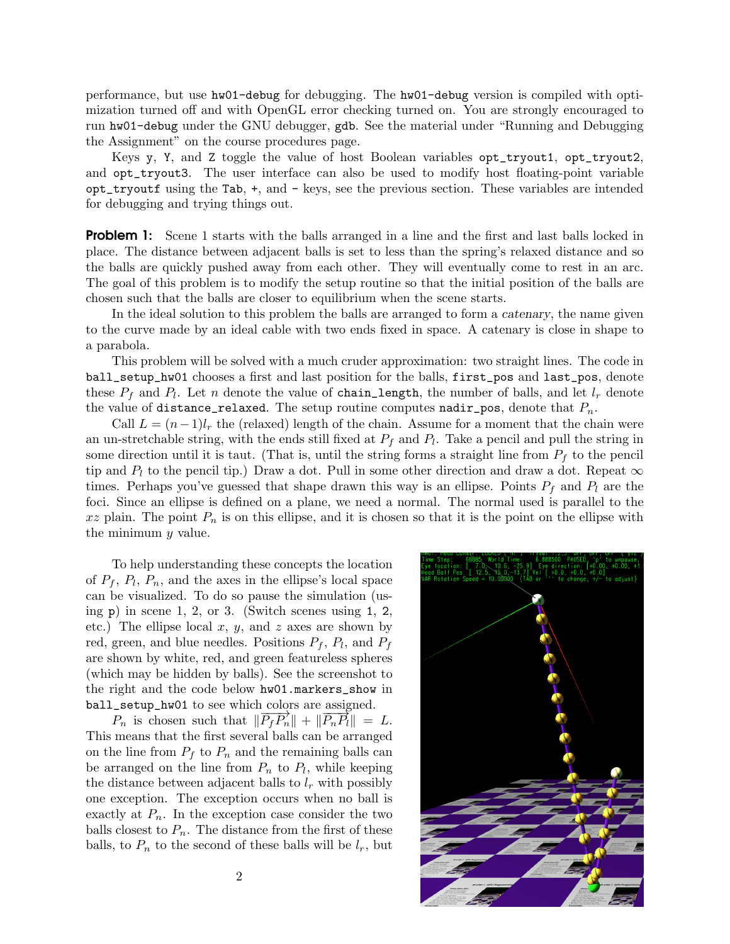performance, but use hw01-debug for debugging. The hw01-debug version is compiled with optimization turned off and with OpenGL error checking turned on. You are strongly encouraged to run hw01-debug under the GNU debugger, gdb. See the material under "Running and Debugging the Assignment" on the course procedures page.

Keys y, Y, and Z toggle the value of host Boolean variables opt\_tryout1, opt\_tryout2, and opt\_tryout3. The user interface can also be used to modify host floating-point variable opt\_tryoutf using the Tab, +, and - keys, see the previous section. These variables are intended for debugging and trying things out.

**Problem 1:** Scene 1 starts with the balls arranged in a line and the first and last balls locked in place. The distance between adjacent balls is set to less than the spring's relaxed distance and so the balls are quickly pushed away from each other. They will eventually come to rest in an arc. The goal of this problem is to modify the setup routine so that the initial position of the balls are chosen such that the balls are closer to equilibrium when the scene starts.

In the ideal solution to this problem the balls are arranged to form a catenary, the name given to the curve made by an ideal cable with two ends fixed in space. A catenary is close in shape to a parabola.

This problem will be solved with a much cruder approximation: two straight lines. The code in ball\_setup\_hw01 chooses a first and last position for the balls, first\_pos and last\_pos, denote these  $P_f$  and  $P_l$ . Let n denote the value of chain\_length, the number of balls, and let  $l_r$  denote the value of distance\_relaxed. The setup routine computes nadir\_pos, denote that  $P_n$ .

Call  $L = (n-1)l_r$  the (relaxed) length of the chain. Assume for a moment that the chain were an un-stretchable string, with the ends still fixed at  $P_f$  and  $P_l$ . Take a pencil and pull the string in some direction until it is taut. (That is, until the string forms a straight line from  $P_f$  to the pencil tip and  $P_l$  to the pencil tip.) Draw a dot. Pull in some other direction and draw a dot. Repeat  $\infty$ times. Perhaps you've guessed that shape drawn this way is an ellipse. Points  $P_f$  and  $P_l$  are the foci. Since an ellipse is defined on a plane, we need a normal. The normal used is parallel to the  $xz$  plain. The point  $P_n$  is on this ellipse, and it is chosen so that it is the point on the ellipse with the minimum y value.

To help understanding these concepts the location of  $P_f$ ,  $P_l$ ,  $P_n$ , and the axes in the ellipse's local space can be visualized. To do so pause the simulation (using  $p)$  in scene 1, 2, or 3. (Switch scenes using 1, 2, etc.) The ellipse local  $x, y$ , and  $z$  axes are shown by red, green, and blue needles. Positions  $P_f$ ,  $P_l$ , and  $P_f$ are shown by white, red, and green featureless spheres (which may be hidden by balls). See the screenshot to the right and the code below hw01.markers\_show in ball\_setup\_hw01 to see which colors are assigned.

 $P_n$  is chosen such that  $\|\overline{P_fP_n}\| + \|\overline{P_nP_l}\| = L$ . This means that the first several balls can be arranged on the line from  $P_f$  to  $P_n$  and the remaining balls can be arranged on the line from  $P_n$  to  $P_l$ , while keeping the distance between adjacent balls to  $l_r$  with possibly one exception. The exception occurs when no ball is exactly at  $P_n$ . In the exception case consider the two balls closest to  $P_n$ . The distance from the first of these balls, to  $P_n$  to the second of these balls will be  $l_r$ , but

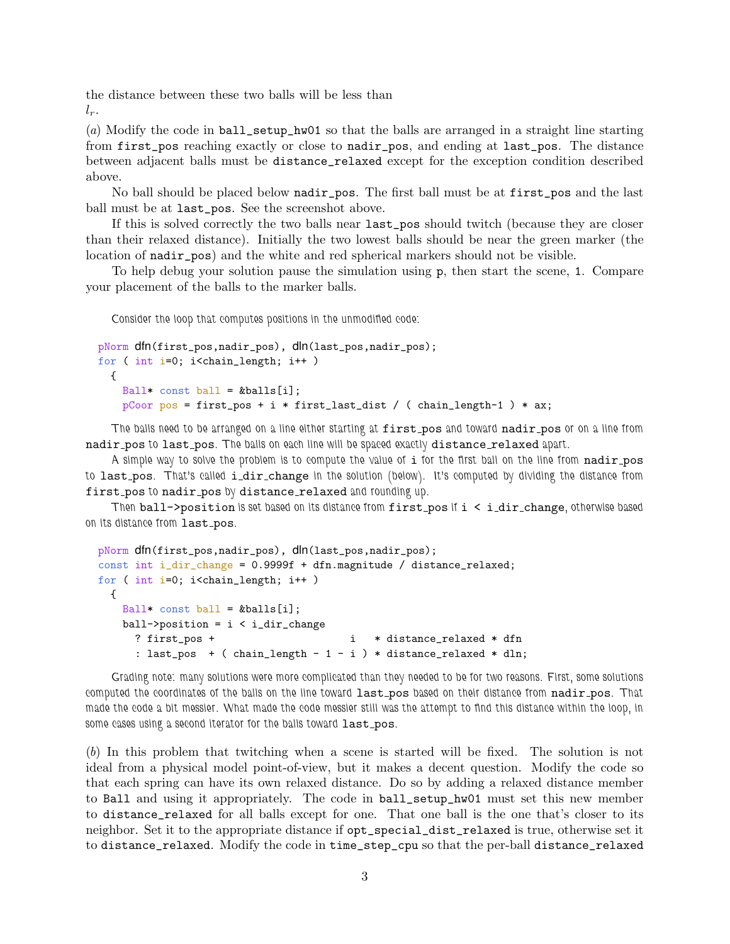the distance between these two balls will be less than  $l_r$ .

(a) Modify the code in ball\_setup\_hw01 so that the balls are arranged in a straight line starting from first\_pos reaching exactly or close to nadir\_pos, and ending at last\_pos. The distance between adjacent balls must be distance\_relaxed except for the exception condition described above.

No ball should be placed below nadir\_pos. The first ball must be at first\_pos and the last ball must be at last\_pos. See the screenshot above.

If this is solved correctly the two balls near last\_pos should twitch (because they are closer than their relaxed distance). Initially the two lowest balls should be near the green marker (the location of nadir\_pos) and the white and red spherical markers should not be visible.

To help debug your solution pause the simulation using p, then start the scene, 1. Compare your placement of the balls to the marker balls.

Consider the loop that computes positions in the unmodified code:

```
pNorm dfn(first_pos,nadir_pos), dln(last_pos,nadir_pos);
for ( int i=0; i<chain_length; i++ )
 {
   Ball* const ball = kballs[i];
   pCoor pos = first_pos + i * first_last\_dist / (chain_length-1) * ax;
```
The balls need to be arranged on a line either starting at first pos and toward nadir pos or on a line from nadir pos to last pos. The balls on each line will be spaced exactly distance relaxed apart.

A simple way to solve the problem is to compute the value of i for the first ball on the line from nadir\_pos to last pos. That's called i\_dir\_change in the solution (below). It's computed by dividing the distance from first\_pos to nadir\_pos by distance\_relaxed and rounding up.

Then ball->position is set based on its distance from first\_pos if i < i\_dir\_change, otherwise based on its distance from last\_pos.

```
pNorm dfn(first_pos,nadir_pos), dln(last_pos,nadir_pos);
const int i_dir_change = 0.9999f + dfn.magnitude / distance_relaxed;
for ( int i=0; i<chain_length; i++ )
 {
   Ball* const ball = &balls[i];
   ball->position = i < i_dir_change
     ? first_pos + i * distance_relaxed * dfn
     : last_pos + ( chain_length - 1 - i ) * distance_relaxed * dln;
```
Grading note: many solutions were more complicated than they needed to be for two reasons. First, some solutions computed the coordinates of the balls on the line toward last pos based on their distance from nadir pos. That made the code a bit messier. What made the code messier still was the attempt to find this distance within the loop, in some cases using a second iterator for the balls toward last\_pos.

(b) In this problem that twitching when a scene is started will be fixed. The solution is not ideal from a physical model point-of-view, but it makes a decent question. Modify the code so that each spring can have its own relaxed distance. Do so by adding a relaxed distance member to Ball and using it appropriately. The code in ball\_setup\_hw01 must set this new member to distance\_relaxed for all balls except for one. That one ball is the one that's closer to its neighbor. Set it to the appropriate distance if opt\_special\_dist\_relaxed is true, otherwise set it to distance\_relaxed. Modify the code in time\_step\_cpu so that the per-ball distance\_relaxed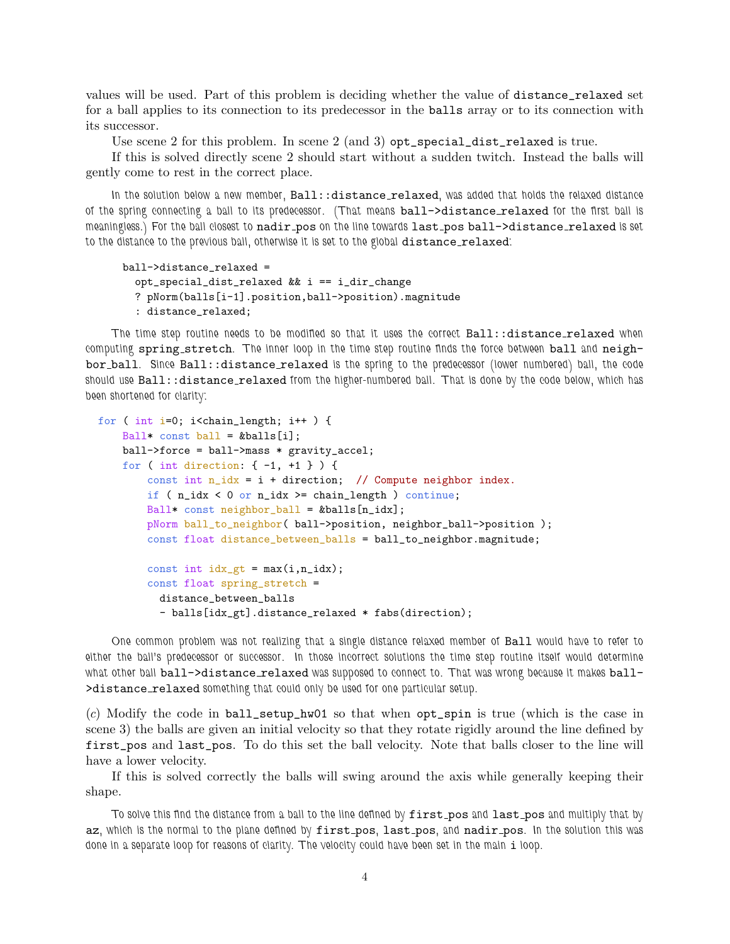values will be used. Part of this problem is deciding whether the value of distance\_relaxed set for a ball applies to its connection to its predecessor in the balls array or to its connection with its successor.

Use scene 2 for this problem. In scene 2 (and 3)  $opt\_special\_dist\_relaxed$  is true.

If this is solved directly scene 2 should start without a sudden twitch. Instead the balls will gently come to rest in the correct place.

In the solution below a new member, Ball::distance\_relaxed, was added that holds the relaxed distance of the spring connecting a ball to its predecessor. (That means ball->distance relaxed for the first ball is meaningless.) For the ball closest to nadir pos on the line towards last pos ball->distance relaxed is set to the distance to the previous ball, otherwise it is set to the global distance\_relaxed:

```
ball->distance_relaxed =
 opt_special_dist_relaxed && i == i_dir_change
 ? pNorm(balls[i-1].position,ball->position).magnitude
  : distance_relaxed;
```
The time step routine needs to be modified so that it uses the correct Ball::distance\_relaxed when computing spring stretch. The inner loop in the time step routine finds the force between ball and neighbor ball. Since Ball::distance relaxed is the spring to the predecessor (lower numbered) ball, the code should use Ball::distance\_relaxed from the higher-numbered ball. That is done by the code below, which has been shortened for clarity:

```
for ( int i=0; i<chain_length; i++ ) {
   Ball* const ball = kballs[i];
   ball->force = ball->mass * gravity_accel;
    for ( int direction: { -1, +1 } ) {
        const int n_idx = i + direction; // Compute neighbor index.
        if ( n\_idx < 0 or n\_idx > = chain\_length ) continue;
        Ball* const neighbor_ball = &balls[n_idx];
        pNorm ball_to_neighbor( ball->position, neighbor_ball->position );
        const float distance_between_balls = ball_to_neighbor.magnitude;
        const int idx\_gt = max(i, n_idx);const float spring_stretch =
          distance_between_balls
          - balls[idx_gt].distance_relaxed * fabs(direction);
```
One common problem was not realizing that a single distance relaxed member of Ball would have to refer to either the ball's predecessor or successor. In those incorrect solutions the time step routine itself would determine what other ball ball->distance\_relaxed was supposed to connect to. That was wrong because it makes ball->distance\_relaxed something that could only be used for one particular setup.

(c) Modify the code in ball\_setup\_hw01 so that when opt\_spin is true (which is the case in scene 3) the balls are given an initial velocity so that they rotate rigidly around the line defined by first\_pos and last\_pos. To do this set the ball velocity. Note that balls closer to the line will have a lower velocity.

If this is solved correctly the balls will swing around the axis while generally keeping their shape.

To solve this find the distance from a ball to the line defined by first pos and last pos and multiply that by az, which is the normal to the plane defined by first pos, last pos, and nadir pos. In the solution this was done in a separate loop for reasons of clarity. The velocity could have been set in the main i loop.